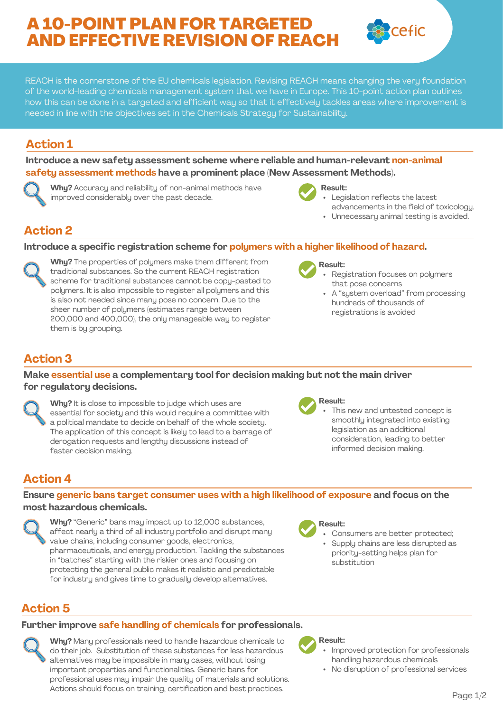# A 10-POINT PLAN FOR TARGETED AND EFFECTIVE REVISION OF REACH

REACH is the cornerstone of the EU chemicals legislation. Revising REACH means changing the very foundation of the world-leading chemicals management system that we have in Europe. This 10-point action plan outlines how this can be done in a targeted and efficient way so that it effectively tackles areas where improvement is needed in line with the objectives set in the Chemicals Strategy for Sustainability.

## **Action 1**

**Introduce a new safety assessment scheme where reliable and human-relevant non-animal safety assessment methods have a prominent place (New Assessment Methods).**

**Why?** Accuracy and reliability of non-animal methods have improved considerably over the past decade.



- Legislation reflects the latest
- advancements in the field of toxicology.

cefic

Unnecessary animal testing is avoided.

## **Action 2**

#### **Introduce a specific registration scheme for polymers with a higher likelihood of hazard.**

**Why?** The properties of polymers make them different from traditional substances. So the current REACH registration scheme for traditional substances cannot be copy-pasted to polymers. It is also impossible to register all polymers and this is also not needed since many pose no concern. Due to the sheer number of polymers (estimates range between 200,000 and 400,000), the only manageable way to register them is by grouping.



- Registration focuses on polymers that pose concerns
- A "system overload" from processing hundreds of thousands of registrations is avoided

## **Action 3**

#### **Make essential use a complementary tool for decision making but not the main driver for regulatory decisions.**



**Why?** It is close to impossible to judge which uses are essential for society and this would require a committee with a political mandate to decide on behalf of the whole society. The application of this concept is likely to lead to a barrage of derogation requests and lengthy discussions instead of faster decision making.

#### **Result:**

This new and untested concept is smoothly integrated into existing legislation as an additional consideration, leading to better informed decision making.

## **Action 4**

**Ensure generic bans target consumer uses with a high likelihood of exposure and focus on the most hazardous chemicals.**

**Why?** "Generic" bans may impact up to 12,000 substances, affect nearly a third of all industry portfolio and disrupt many value chains, including consumer goods, electronics, pharmaceuticals, and energy production. Tackling the substances in "batches" starting with the riskier ones and focusing on protecting the general public makes it realistic and predictable for industry and gives time to gradually develop alternatives.



- Consumers are better protected;
- Supply chains are less disrupted as priority-setting helps plan for substitution

## **Action 5**

#### **Further improve safe handling of chemicals for professionals.**

**Why?** Many professionals need to handle hazardous chemicals to do their job. Substitution of these substances for less hazardous alternatives may be impossible in many cases, without losing important properties and functionalities. Generic bans for professional uses may impair the quality of materials and solutions. Actions should focus on training, certification and best practices.



- Improved protection for professionals handling hazardous chemicals
- No disruption of professional services